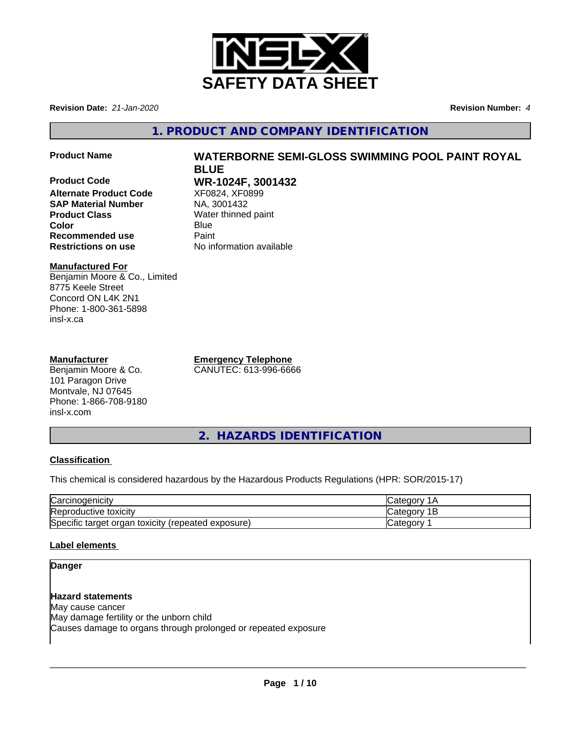

**Revision Date:** *21-Jan-2020* **Revision Number:** *4*

**1. PRODUCT AND COMPANY IDENTIFICATION**

**Product Name WATERBORNE SEMI-GLOSS SWIMMING POOL PAINT ROYAL**

**Product Code WR-1024F, 3001432 Alternate Product Code** XF0824, XF08<br> **SAP Material Number** NA, 3001432 **SAP Material Number Product Class** Water thinned paint **Color** Blue Blue **Recommended use Paint Restrictions on use** No information available

# **Manufactured For**

Benjamin Moore & Co., Limited 8775 Keele Street Concord ON L4K 2N1 Phone: 1-800-361-5898 insl-x.ca

# **Manufacturer**

Benjamin Moore & Co. 101 Paragon Drive Montvale, NJ 07645 Phone: 1-866-708-9180 insl-x.com

**Emergency Telephone** CANUTEC: 613-996-6666

**BLUE**

**2. HAZARDS IDENTIFICATION**

# **Classification**

This chemical is considered hazardous by the Hazardous Products Regulations (HPR: SOR/2015-17)

| ⌒<br>'oroir<br>rcinoaenicit                                   | $\sim$ $\sim$ $\sim$                          |
|---------------------------------------------------------------|-----------------------------------------------|
| <b>Repr</b><br>roductive toxicitv                             | $\sim$ $\sim$ $\sim$<br>$\sim$ $\sim$<br>vait |
| Specific target<br>toxicity<br>(repeated exposure)<br>' orɑan | $\sim$ $\sim$ $\sim$ $\sim$<br>- 000<br>valcu |

# **Label elements**

# **Danger**

# **Hazard statements**

May cause cancer May damage fertility or the unborn child Causes damage to organs through prolonged or repeated exposure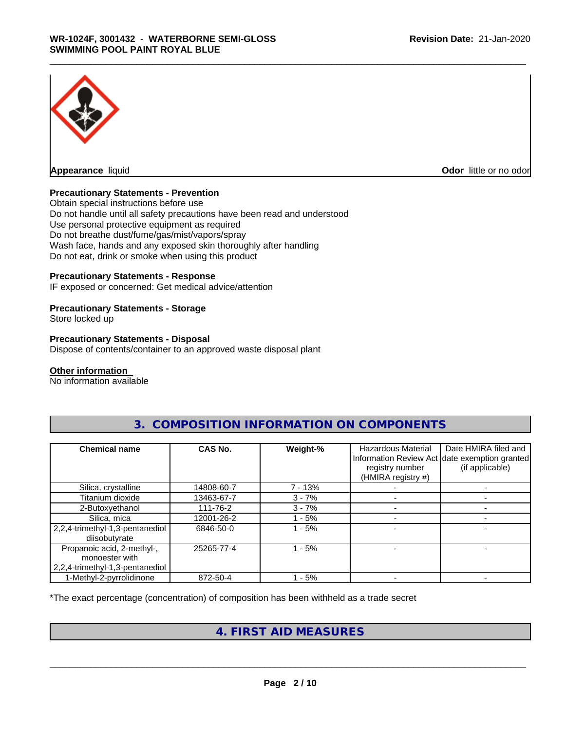

**Odor** little or no odor

## **Precautionary Statements - Prevention**

Obtain special instructions before use Do not handle until all safety precautions have been read and understood Use personal protective equipment as required Do not breathe dust/fume/gas/mist/vapors/spray Wash face, hands and any exposed skin thoroughly after handling Do not eat, drink or smoke when using this product

# **Precautionary Statements - Response**

IF exposed or concerned: Get medical advice/attention

### **Precautionary Statements - Storage**

Store locked up

### **Precautionary Statements - Disposal**

Dispose of contents/container to an approved waste disposal plant

#### **Other information**

No information available

| <b>Chemical name</b>                                                            | <b>CAS No.</b> | Weight-%  | <b>Hazardous Material</b><br>registry number<br>(HMIRA registry #) | Date HMIRA filed and<br>Information Review Act date exemption granted<br>(if applicable) |
|---------------------------------------------------------------------------------|----------------|-----------|--------------------------------------------------------------------|------------------------------------------------------------------------------------------|
| Silica, crystalline                                                             | 14808-60-7     | $7 - 13%$ |                                                                    |                                                                                          |
| Titanium dioxide                                                                | 13463-67-7     | $3 - 7%$  |                                                                    |                                                                                          |
| 2-Butoxyethanol                                                                 | 111-76-2       | $3 - 7%$  |                                                                    |                                                                                          |
| Silica, mica                                                                    | 12001-26-2     | - 5%      |                                                                    |                                                                                          |
| 2,2,4-trimethyl-1,3-pentanediol<br>diisobutyrate                                | 6846-50-0      | 1 - 5%    |                                                                    |                                                                                          |
| Propanoic acid, 2-methyl-,<br>monoester with<br>2,2,4-trimethyl-1,3-pentanediol | 25265-77-4     | 1 - 5%    |                                                                    |                                                                                          |
| 1-Methyl-2-pyrrolidinone                                                        | 872-50-4       | - 5%      |                                                                    |                                                                                          |

# **3. COMPOSITION INFORMATION ON COMPONENTS**

\*The exact percentage (concentration) of composition has been withheld as a trade secret

# **4. FIRST AID MEASURES**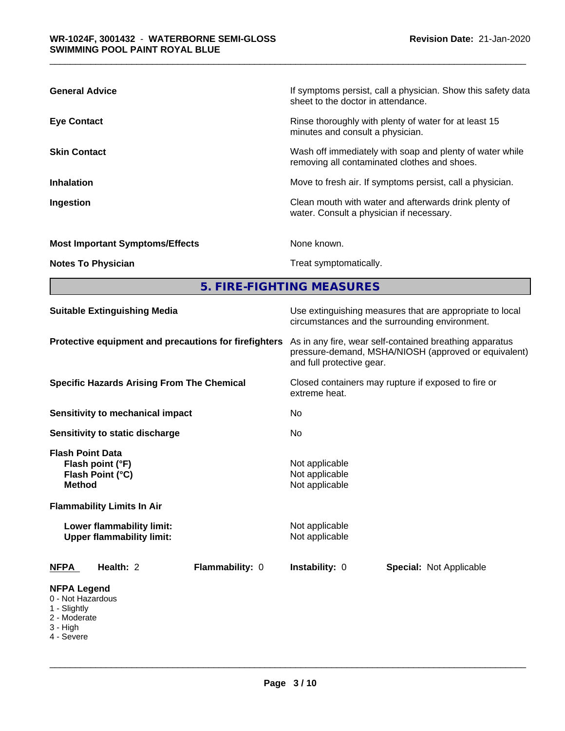| <b>General Advice</b>                  | If symptoms persist, call a physician. Show this safety data<br>sheet to the doctor in attendance.       |
|----------------------------------------|----------------------------------------------------------------------------------------------------------|
| <b>Eye Contact</b>                     | Rinse thoroughly with plenty of water for at least 15<br>minutes and consult a physician.                |
| <b>Skin Contact</b>                    | Wash off immediately with soap and plenty of water while<br>removing all contaminated clothes and shoes. |
| <b>Inhalation</b>                      | Move to fresh air. If symptoms persist, call a physician.                                                |
| Ingestion                              | Clean mouth with water and afterwards drink plenty of<br>water. Consult a physician if necessary.        |
| <b>Most Important Symptoms/Effects</b> | None known.                                                                                              |
| <b>Notes To Physician</b>              | Treat symptomatically.                                                                                   |

**5. FIRE-FIGHTING MEASURES**

| <b>Suitable Extinguishing Media</b>                                                                                                                                                    | Use extinguishing measures that are appropriate to local<br>circumstances and the surrounding environment.                                   |  |  |  |
|----------------------------------------------------------------------------------------------------------------------------------------------------------------------------------------|----------------------------------------------------------------------------------------------------------------------------------------------|--|--|--|
| Protective equipment and precautions for firefighters                                                                                                                                  | As in any fire, wear self-contained breathing apparatus<br>pressure-demand, MSHA/NIOSH (approved or equivalent)<br>and full protective gear. |  |  |  |
| <b>Specific Hazards Arising From The Chemical</b>                                                                                                                                      | Closed containers may rupture if exposed to fire or<br>extreme heat.                                                                         |  |  |  |
| <b>Sensitivity to mechanical impact</b>                                                                                                                                                | No.                                                                                                                                          |  |  |  |
| Sensitivity to static discharge                                                                                                                                                        | No                                                                                                                                           |  |  |  |
| <b>Flash Point Data</b><br>Flash point (°F)<br>Flash Point (°C)<br><b>Method</b><br><b>Flammability Limits In Air</b><br>Lower flammability limit:<br><b>Upper flammability limit:</b> | Not applicable<br>Not applicable<br>Not applicable<br>Not applicable<br>Not applicable                                                       |  |  |  |
| Health: 2<br><b>Flammability: 0</b><br>NFPA                                                                                                                                            | Instability: 0<br><b>Special: Not Applicable</b>                                                                                             |  |  |  |
| <b>NFPA Legend</b><br>0 - Not Hazardous<br>1 - Slightly<br>2 - Moderate<br>3 - High<br>4 - Severe                                                                                      |                                                                                                                                              |  |  |  |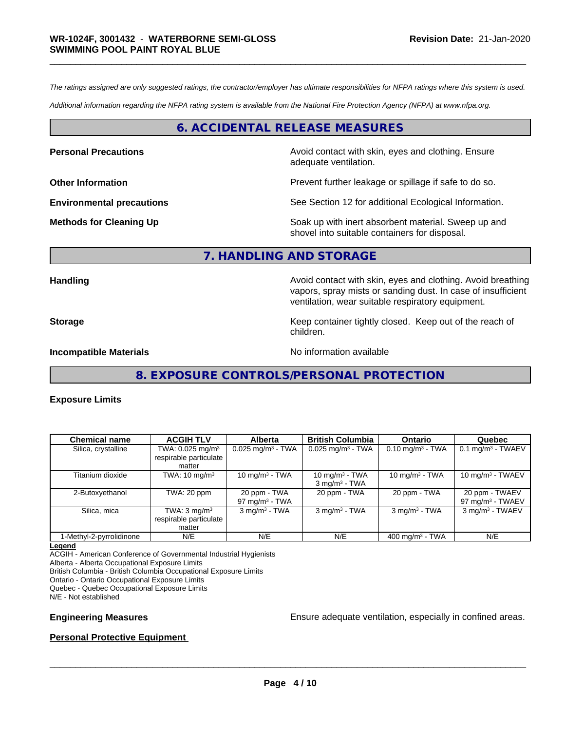*The ratings assigned are only suggested ratings, the contractor/employer has ultimate responsibilities for NFPA ratings where this system is used.*

*Additional information regarding the NFPA rating system is available from the National Fire Protection Agency (NFPA) at www.nfpa.org.*

# **6. ACCIDENTAL RELEASE MEASURES**

**Personal Precautions Precautions** Avoid contact with skin, eyes and clothing. Ensure adequate ventilation.

**Other Information Discription Prevent further leakage or spillage if safe to do so.** 

**Environmental precautions** See Section 12 for additional Ecological Information.

**Methods for Cleaning Up Example 20 Soak** up with inert absorbent material. Sweep up and shovel into suitable containers for disposal.

# **7. HANDLING AND STORAGE**

**Handling Handling Avoid contact with skin, eyes and clothing. Avoid breathing** vapors, spray mists or sanding dust. In case of insufficient ventilation, wear suitable respiratory equipment.

**Storage Keep container tightly closed.** Keep out of the reach of

**Incompatible Materials** Noinformation available

**8. EXPOSURE CONTROLS/PERSONAL PROTECTION**

children.

#### **Exposure Limits**

| <b>Chemical name</b>     | <b>ACGIH TLV</b>                                  | <b>Alberta</b>                    | <b>British Columbia</b>                       | <b>Ontario</b>                 | Quebec                                |
|--------------------------|---------------------------------------------------|-----------------------------------|-----------------------------------------------|--------------------------------|---------------------------------------|
| Silica, crystalline      | TWA: 0.025 mg/m <sup>3</sup>                      | $0.025$ mg/m <sup>3</sup> - TWA   | $0.025$ mg/m <sup>3</sup> - TWA               | $0.10$ mg/m <sup>3</sup> - TWA | $0.1$ mg/m <sup>3</sup> - TWAEV       |
|                          | respirable particulate                            |                                   |                                               |                                |                                       |
|                          | matter                                            |                                   |                                               |                                |                                       |
| Titanium dioxide         | TWA: $10 \text{ mg/m}^3$                          | 10 mg/m $3$ - TWA                 | 10 mg/m $3$ - TWA<br>$3 \text{ mg/m}^3$ - TWA | 10 mg/m $3$ - TWA              | $10 \text{ mg/m}^3$ - TWAEV           |
| 2-Butoxyethanol          | TWA: 20 ppm                                       | 20 ppm - TWA<br>97 mg/m $3$ - TWA | 20 ppm - TWA                                  | 20 ppm - TWA                   | 20 ppm - TWAEV<br>97 mg/m $3$ - TWAEV |
| Silica, mica             | TWA: $3 \text{ mg/m}^3$<br>respirable particulate | $3$ mg/m <sup>3</sup> - TWA       | $3$ mg/m <sup>3</sup> - TWA                   | $3$ mg/m <sup>3</sup> - TWA    | 3 mg/m <sup>3</sup> - TWAEV           |
|                          | matter                                            |                                   |                                               |                                |                                       |
| 1-Methyl-2-pyrrolidinone | N/E                                               | N/E                               | N/E                                           | 400 mg/m $3$ - TWA             | N/E                                   |

#### **Legend**

ACGIH - American Conference of Governmental Industrial Hygienists Alberta - Alberta Occupational Exposure Limits British Columbia - British Columbia Occupational Exposure Limits Ontario - Ontario Occupational Exposure Limits Quebec - Quebec Occupational Exposure Limits

N/E - Not established

**Engineering Measures Ensure adequate ventilation, especially in confined areas.** 

### **Personal Protective Equipment**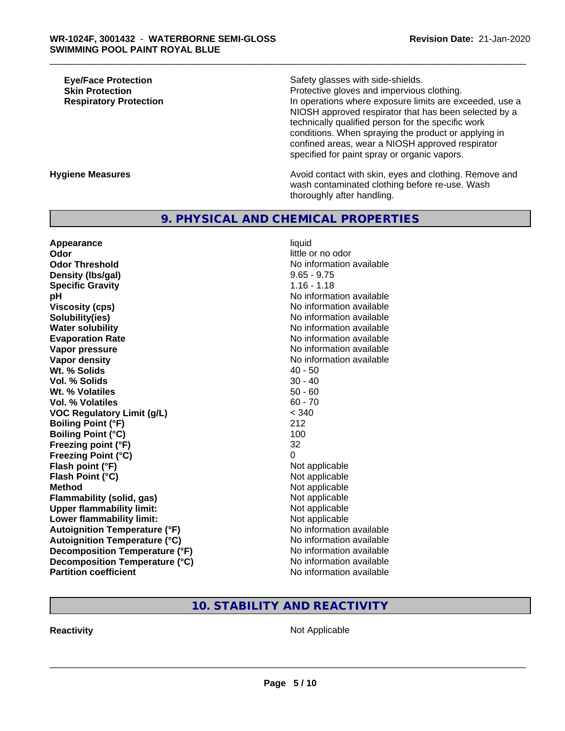**Eye/Face Protection**<br> **Safety glasses with side-shields.**<br> **Skin Protection** 

**Skin Protection**<br> **Respiratory Protection**<br> **Respiratory Protection**<br> **Protective gloves and impervious clothing.**<br>
In operations where exposure limits are ex-In operations where exposure limits are exceeded, use a NIOSH approved respirator that has been selected by a technically qualified person for the specific work conditions. When spraying the product or applying in confined areas, wear a NIOSH approved respirator specified for paint spray or organic vapors.

#### **Hygiene Measures Avoid contact with skin, eyes and clothing. Remove and Avoid contact with skin, eyes and clothing. Remove and** wash contaminated clothing before re-use. Wash thoroughly after handling.

# **9. PHYSICAL AND CHEMICAL PROPERTIES**

**Appearance** liquid **Odor** little or no odor **Odor Threshold** No information available **Density (Ibs/gal)** 9.65 - 9.75 **Specific Gravity** 1.16 - 1.18 **pH pH**  $\blacksquare$ **Viscosity (cps)** No information available Notice 1, 1999 **Solubility(ies)** No information available in the solution of the solution of the solution available in the solution of the solution of the solution of the solution of the solution of the solution of the solution of the so **Water solubility Water solubility Water solubility Water solubility Water solubility Water solution Evaporation Rate No information available No information available Vapor pressure** No information available **Vapor density Vapor density No information available Wt. % Solids** 40 - 50<br> **Vol. % Solids** 30 - 40 **Vol. % Solids Wt. % Volatiles** 50 - 60 **Vol. % Volatiles** 60 - 70 **VOC Regulatory Limit (g/L)** < 340 **Boiling Point (°F)** 212 **Boiling Point (°C)** 100 **Freezing point (°F)** 32 **Freezing Point (°C)** 0 **Flash point (°F)** Not applicable **Flash Point (°C)** Not applicable **Method**<br> **Flammability (solid, gas)**<br> **Commability (solid, gas)**<br>
Mot applicable **Flammability (solid, gas)**<br> **Upper flammability limit:**<br>
Upper flammability limit: **Upper flammability limit: Lower flammability limit:**<br> **Autoignition Temperature (°F)** Not applicable available and the Mustafable and Mustafable and Mustafable and Mu **Autoignition Temperature (°F)**<br> **Autoignition Temperature (°C)** No information available **Autoignition Temperature (°C) Decomposition Temperature (°F)** No information available **Decomposition Temperature (°C)** No information available **Partition coefficient** No information available

# **10. STABILITY AND REACTIVITY**

**Reactivity** Not Applicable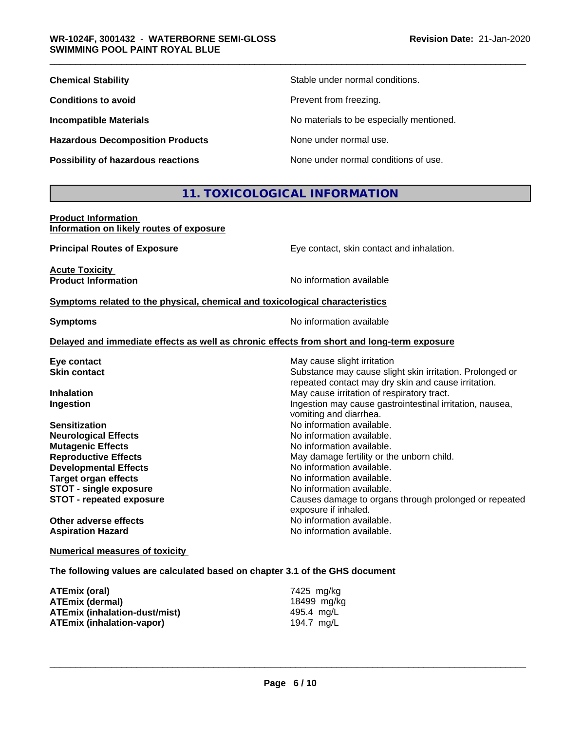| <b>Chemical Stability</b>                 | Stable under normal conditions.          |
|-------------------------------------------|------------------------------------------|
| <b>Conditions to avoid</b>                | Prevent from freezing.                   |
| <b>Incompatible Materials</b>             | No materials to be especially mentioned. |
| <b>Hazardous Decomposition Products</b>   | None under normal use.                   |
| <b>Possibility of hazardous reactions</b> | None under normal conditions of use.     |

# **11. TOXICOLOGICAL INFORMATION**

### **Product Information Information on likely routes of exposure**

**Principal Routes of Exposure** Eye contact, skin contact and inhalation. **Acute Toxicity<br>Product Information No information available <u>Symptoms related to the physical, chemical and toxicological characteristics</u> Symptoms** No information available **Delayed and immediate effects as well as chronic effects from short and long-term exposure Eye contact Exercise Solution** May cause slight irritation

| <b>Skin contact</b>             | Substance may cause slight skin irritation. Prolonged or                           |
|---------------------------------|------------------------------------------------------------------------------------|
|                                 | repeated contact may dry skin and cause irritation.                                |
| <b>Inhalation</b>               | May cause irritation of respiratory tract.                                         |
| Ingestion                       | Ingestion may cause gastrointestinal irritation, nausea,<br>vomiting and diarrhea. |
| <b>Sensitization</b>            | No information available.                                                          |
| <b>Neurological Effects</b>     | No information available.                                                          |
| <b>Mutagenic Effects</b>        | No information available.                                                          |
| <b>Reproductive Effects</b>     | May damage fertility or the unborn child.                                          |
| <b>Developmental Effects</b>    | No information available.                                                          |
| <b>Target organ effects</b>     | No information available.                                                          |
| <b>STOT - single exposure</b>   | No information available.                                                          |
| <b>STOT - repeated exposure</b> | Causes damage to organs through prolonged or repeated<br>exposure if inhaled.      |
| Other adverse effects           | No information available.                                                          |
| <b>Aspiration Hazard</b>        | No information available.                                                          |
|                                 |                                                                                    |

**Numerical measures of toxicity**

**The following values are calculated based on chapter 3.1 of the GHS document**

| ATEmix (oral)                 | 7425 mg/kg  |
|-------------------------------|-------------|
| <b>ATEmix (dermal)</b>        | 18499 ma/ka |
| ATEmix (inhalation-dust/mist) | 495.4 mg/L  |
| ATEmix (inhalation-vapor)     | 194.7 mg/L  |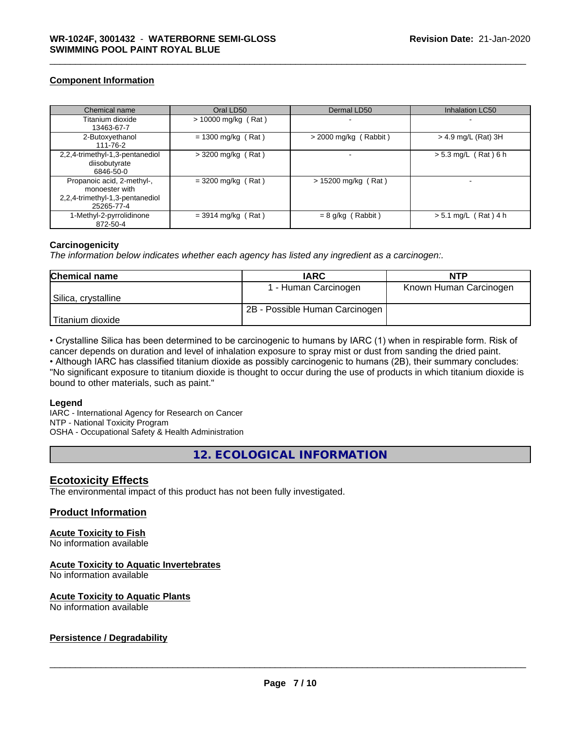# **Component Information**

| Chemical name                                                                                 | Oral LD50             | Dermal LD50             | Inhalation LC50        |
|-----------------------------------------------------------------------------------------------|-----------------------|-------------------------|------------------------|
| Titanium dioxide<br>13463-67-7                                                                | $> 10000$ mg/kg (Rat) |                         |                        |
| 2-Butoxyethanol<br>111-76-2                                                                   | $= 1300$ mg/kg (Rat)  | $>$ 2000 mg/kg (Rabbit) | > 4.9 mg/L (Rat) 3H    |
| $2,2,4$ -trimethyl-1,3-pentanediol<br>diisobutyrate<br>6846-50-0                              | $>$ 3200 mg/kg (Rat)  |                         | $> 5.3$ mg/L (Rat) 6 h |
| Propanoic acid, 2-methyl-,<br>monoester with<br>2,2,4-trimethyl-1,3-pentanediol<br>25265-77-4 | $=$ 3200 mg/kg (Rat)  | $> 15200$ mg/kg (Rat)   |                        |
| 1-Methyl-2-pyrrolidinone<br>872-50-4                                                          | $=$ 3914 mg/kg (Rat)  | $= 8$ g/kg (Rabbit)     | $> 5.1$ mg/L (Rat) 4 h |

### **Carcinogenicity**

*The information below indicateswhether each agency has listed any ingredient as a carcinogen:.*

| <b>Chemical name</b> | <b>IARC</b>                    | <b>NTP</b>             |
|----------------------|--------------------------------|------------------------|
|                      | 1 - Human Carcinogen           | Known Human Carcinogen |
| Silica, crystalline  |                                |                        |
|                      | 2B - Possible Human Carcinogen |                        |
| l Titanium dioxide   |                                |                        |

• Crystalline Silica has been determined to be carcinogenic to humans by IARC (1) when in respirable form. Risk of cancer depends on duration and level of inhalation exposure to spray mist or dust from sanding the dried paint.

• Although IARC has classified titanium dioxide as possibly carcinogenic to humans (2B), their summary concludes: "No significant exposure to titanium dioxide is thought to occur during the use of products in which titanium dioxide is bound to other materials, such as paint."

### **Legend**

IARC - International Agency for Research on Cancer NTP - National Toxicity Program OSHA - Occupational Safety & Health Administration

**12. ECOLOGICAL INFORMATION**

# **Ecotoxicity Effects**

The environmental impact of this product has not been fully investigated.

# **Product Information**

### **Acute Toxicity to Fish**

No information available

### **Acute Toxicity to Aquatic Invertebrates**

No information available

### **Acute Toxicity to Aquatic Plants**

No information available

# **Persistence / Degradability**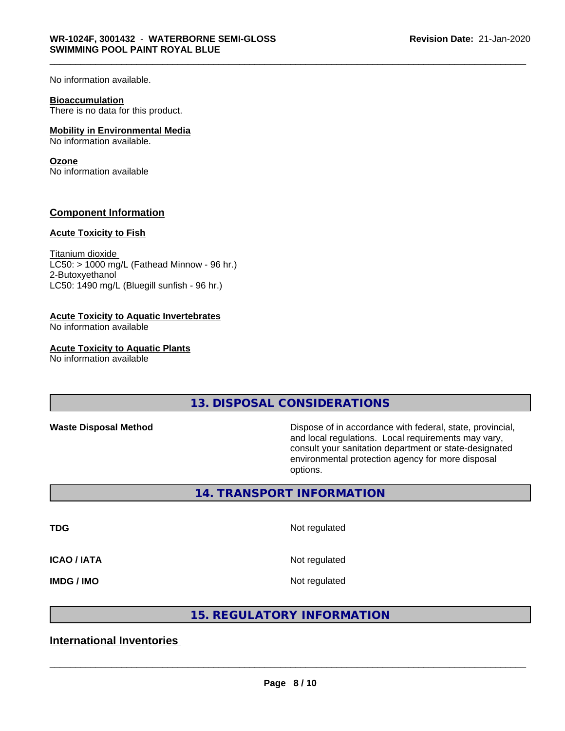No information available.

#### **Bioaccumulation**

There is no data for this product.

### **Mobility in Environmental Media**

No information available.

#### **Ozone**

No information available

# **Component Information**

#### **Acute Toxicity to Fish**

Titanium dioxide  $LC50:$  > 1000 mg/L (Fathead Minnow - 96 hr.) 2-Butoxyethanol LC50: 1490 mg/L (Bluegill sunfish - 96 hr.)

### **Acute Toxicity to Aquatic Invertebrates**

No information available

## **Acute Toxicity to Aquatic Plants**

No information available

**13. DISPOSAL CONSIDERATIONS**

Waste Disposal Method **Dispose of in accordance with federal, state, provincial,** and local regulations. Local requirements may vary, consult your sanitation department or state-designated environmental protection agency for more disposal options.

# **14. TRANSPORT INFORMATION**

**TDG** Not regulated

**ICAO / IATA** Not regulated

**IMDG / IMO** Not regulated

# **15. REGULATORY INFORMATION**

**International Inventories**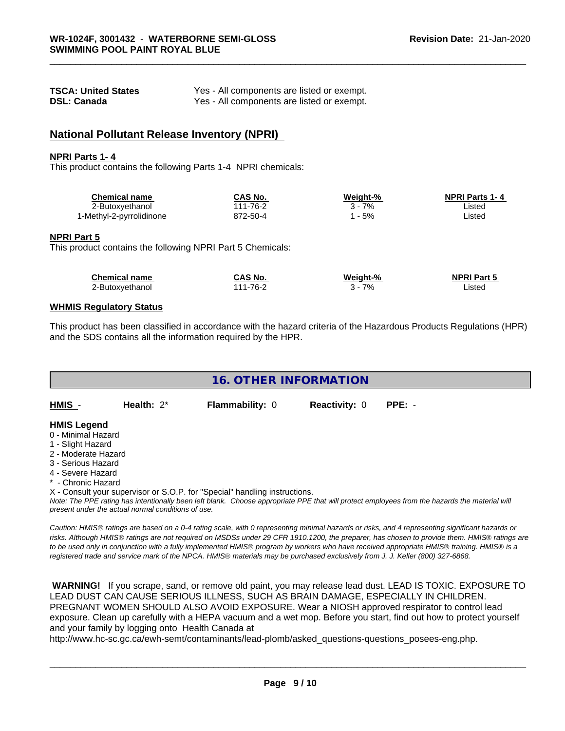| <b>TSCA: United States</b> | Yes - All components are listed or exempt. |
|----------------------------|--------------------------------------------|
| <b>DSL: Canada</b>         | Yes - All components are listed or exempt. |

# **National Pollutant Release Inventory (NPRI)**

#### **NPRI Parts 1- 4**

This product contains the following Parts 1-4 NPRI chemicals:

| <b>Chemical name</b>     | <b>CAS No.</b> | Weight-% | <b>NPRI Parts 1-4</b> |  |
|--------------------------|----------------|----------|-----------------------|--|
| 2-Butoxyethanol          | 111-76-2       | 7%       | .istec                |  |
| 1-Methyl-2-pyrrolidinone | 872-50-4       | 5%       | .isted                |  |

#### **NPRI Part 5**

This product contains the following NPRI Part 5 Chemicals:

| <b>Chemical name</b> | CAS No.      | Weight-% | <b>NPRI Part 5</b> |
|----------------------|--------------|----------|--------------------|
| 2-Butoxyethanol      | $1 - 76 - 2$ | 7%       | .isted             |

### **WHMIS Regulatory Status**

This product has been classified in accordance with the hazard criteria of the Hazardous Products Regulations (HPR) and the SDS contains all the information required by the HPR.



X - Consult your supervisor or S.O.P. for "Special" handling instructions.

*Note: The PPE rating has intentionally been left blank. Choose appropriate PPE that will protect employees from the hazards the material will present under the actual normal conditions of use.*

*Caution: HMISÒ ratings are based on a 0-4 rating scale, with 0 representing minimal hazards or risks, and 4 representing significant hazards or risks. Although HMISÒ ratings are not required on MSDSs under 29 CFR 1910.1200, the preparer, has chosen to provide them. HMISÒ ratings are to be used only in conjunction with a fully implemented HMISÒ program by workers who have received appropriate HMISÒ training. HMISÒ is a registered trade and service mark of the NPCA. HMISÒ materials may be purchased exclusively from J. J. Keller (800) 327-6868.*

 **WARNING!** If you scrape, sand, or remove old paint, you may release lead dust. LEAD IS TOXIC. EXPOSURE TO LEAD DUST CAN CAUSE SERIOUS ILLNESS, SUCH AS BRAIN DAMAGE, ESPECIALLY IN CHILDREN. PREGNANT WOMEN SHOULD ALSO AVOID EXPOSURE.Wear a NIOSH approved respirator to control lead exposure. Clean up carefully with a HEPA vacuum and a wet mop. Before you start, find out how to protect yourself and your family by logging onto Health Canada at

http://www.hc-sc.gc.ca/ewh-semt/contaminants/lead-plomb/asked\_questions-questions\_posees-eng.php.